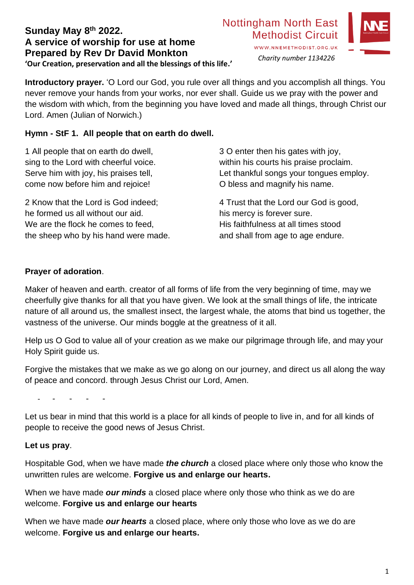# **Sunday May 8th 2022. A service of worship for use at home Prepared by Rev Dr David Monkton 'Our Creation, preservation and all the blessings of this life.'**

# **Nottingham North East Methodist Circuit**



WWW.NNEMETHODIST.ORG.UK *Charity number 1134226*

**Introductory prayer.** 'O Lord our God, you rule over all things and you accomplish all things. You never remove your hands from your works, nor ever shall. Guide us we pray with the power and the wisdom with which, from the beginning you have loved and made all things, through Christ our Lord. Amen (Julian of Norwich.)

# **Hymn - StF 1. All people that on earth do dwell.**

1 All people that on earth do dwell, sing to the Lord with cheerful voice. Serve him with joy, his praises tell, come now before him and rejoice!

2 Know that the Lord is God indeed; he formed us all without our aid. We are the flock he comes to feed, the sheep who by his hand were made.

3 O enter then his gates with joy, within his courts his praise proclaim. Let thankful songs your tongues employ. O bless and magnify his name.

4 Trust that the Lord our God is good, his mercy is forever sure. His faithfulness at all times stood and shall from age to age endure.

# **Prayer of adoration**.

Maker of heaven and earth. creator of all forms of life from the very beginning of time, may we cheerfully give thanks for all that you have given. We look at the small things of life, the intricate nature of all around us, the smallest insect, the largest whale, the atoms that bind us together, the vastness of the universe. Our minds boggle at the greatness of it all.

Help us O God to value all of your creation as we make our pilgrimage through life, and may your Holy Spirit guide us.

Forgive the mistakes that we make as we go along on our journey, and direct us all along the way of peace and concord. through Jesus Christ our Lord, Amen.

- - - - -

Let us bear in mind that this world is a place for all kinds of people to live in, and for all kinds of people to receive the good news of Jesus Christ.

#### **Let us pray**.

Hospitable God, when we have made *the church* a closed place where only those who know the unwritten rules are welcome. **Forgive us and enlarge our hearts.**

When we have made *our minds* a closed place where only those who think as we do are welcome. **Forgive us and enlarge our hearts**

When we have made *our hearts* a closed place, where only those who love as we do are welcome. **Forgive us and enlarge our hearts.**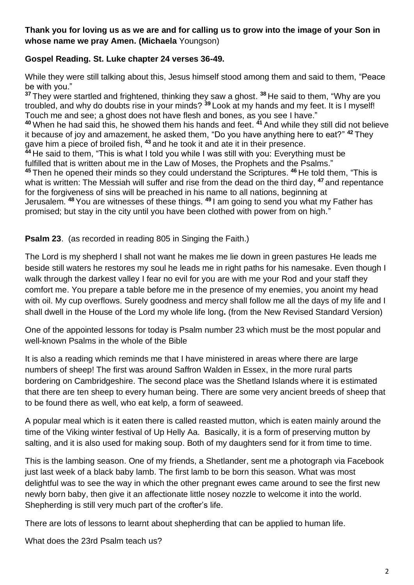## **Thank you for loving us as we are and for calling us to grow into the image of your Son in whose name we pray Amen. (Michaela** Youngson)

### **Gospel Reading. St. Luke chapter 24 verses 36-49.**

While they were still talking about this, Jesus himself stood among them and said to them, "Peace be with you."

**<sup>37</sup>** They were startled and frightened, thinking they saw a ghost. **<sup>38</sup>** He said to them, "Why are you troubled, and why do doubts rise in your minds? **<sup>39</sup>** Look at my hands and my feet. It is I myself! Touch me and see; a ghost does not have flesh and bones, as you see I have." **<sup>40</sup>** When he had said this, he showed them his hands and feet. **<sup>41</sup>** And while they still did not believe it because of joy and amazement, he asked them, "Do you have anything here to eat?" **<sup>42</sup>** They gave him a piece of broiled fish, **<sup>43</sup>** and he took it and ate it in their presence. **<sup>44</sup>** He said to them, "This is what I told you while I was still with you: Everything must be fulfilled that is written about me in the Law of Moses, the Prophets and the Psalms." **<sup>45</sup>** Then he opened their minds so they could understand the Scriptures. **<sup>46</sup>** He told them, "This is what is written: The Messiah will suffer and rise from the dead on the third day, **<sup>47</sup>** and repentance for the forgiveness of sins will be preached in his name to all nations, beginning at Jerusalem. **<sup>48</sup>** You are witnesses of these things. **<sup>49</sup>** I am going to send you what my Father has promised; but stay in the city until you have been clothed with power from on high."

#### **Psalm 23.** (as recorded in reading 805 in Singing the Faith.)

The Lord is my shepherd I shall not want he makes me lie down in green pastures He leads me beside still waters he restores my soul he leads me in right paths for his namesake. Even though I walk through the darkest valley I fear no evil for you are with me your Rod and your staff they comfort me. You prepare a table before me in the presence of my enemies, you anoint my head with oil. My cup overflows. Surely goodness and mercy shall follow me all the days of my life and I shall dwell in the House of the Lord my whole life long**.** (from the New Revised Standard Version)

One of the appointed lessons for today is Psalm number 23 which must be the most popular and well-known Psalms in the whole of the Bible

It is also a reading which reminds me that I have ministered in areas where there are large numbers of sheep! The first was around Saffron Walden in Essex, in the more rural parts bordering on Cambridgeshire. The second place was the Shetland Islands where it is estimated that there are ten sheep to every human being. There are some very ancient breeds of sheep that to be found there as well, who eat kelp, a form of seaweed.

A popular meal which is it eaten there is called reasted mutton, which is eaten mainly around the time of the Viking winter festival of Up Helly Aa. Basically, it is a form of preserving mutton by salting, and it is also used for making soup. Both of my daughters send for it from time to time.

This is the lambing season. One of my friends, a Shetlander, sent me a photograph via Facebook just last week of a black baby lamb. The first lamb to be born this season. What was most delightful was to see the way in which the other pregnant ewes came around to see the first new newly born baby, then give it an affectionate little nosey nozzle to welcome it into the world. Shepherding is still very much part of the crofter's life.

There are lots of lessons to learnt about shepherding that can be applied to human life.

What does the 23rd Psalm teach us?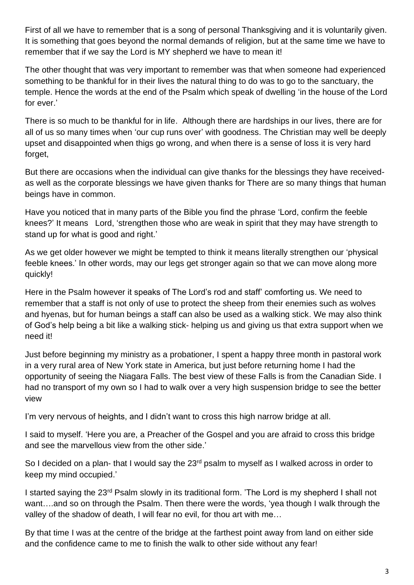First of all we have to remember that is a song of personal Thanksgiving and it is voluntarily given. It is something that goes beyond the normal demands of religion, but at the same time we have to remember that if we say the Lord is MY shepherd we have to mean it!

The other thought that was very important to remember was that when someone had experienced something to be thankful for in their lives the natural thing to do was to go to the sanctuary, the temple. Hence the words at the end of the Psalm which speak of dwelling 'in the house of the Lord for ever.'

There is so much to be thankful for in life. Although there are hardships in our lives, there are for all of us so many times when 'our cup runs over' with goodness. The Christian may well be deeply upset and disappointed when thigs go wrong, and when there is a sense of loss it is very hard forget,

But there are occasions when the individual can give thanks for the blessings they have receivedas well as the corporate blessings we have given thanks for There are so many things that human beings have in common.

Have you noticed that in many parts of the Bible you find the phrase 'Lord, confirm the feeble knees?' It means Lord, 'strengthen those who are weak in spirit that they may have strength to stand up for what is good and right.'

As we get older however we might be tempted to think it means literally strengthen our 'physical feeble knees.' In other words, may our legs get stronger again so that we can move along more quickly!

Here in the Psalm however it speaks of The Lord's rod and staff' comforting us. We need to remember that a staff is not only of use to protect the sheep from their enemies such as wolves and hyenas, but for human beings a staff can also be used as a walking stick. We may also think of God's help being a bit like a walking stick- helping us and giving us that extra support when we need it!

Just before beginning my ministry as a probationer, I spent a happy three month in pastoral work in a very rural area of New York state in America, but just before returning home I had the opportunity of seeing the Niagara Falls. The best view of these Falls is from the Canadian Side. I had no transport of my own so I had to walk over a very high suspension bridge to see the better view

I'm very nervous of heights, and I didn't want to cross this high narrow bridge at all.

I said to myself. 'Here you are, a Preacher of the Gospel and you are afraid to cross this bridge and see the marvellous view from the other side.'

So I decided on a plan- that I would say the 23<sup>rd</sup> psalm to myself as I walked across in order to keep my mind occupied.'

I started saying the 23rd Psalm slowly in its traditional form. 'The Lord is my shepherd I shall not want….and so on through the Psalm. Then there were the words, 'yea though I walk through the valley of the shadow of death, I will fear no evil, for thou art with me…

By that time I was at the centre of the bridge at the farthest point away from land on either side and the confidence came to me to finish the walk to other side without any fear!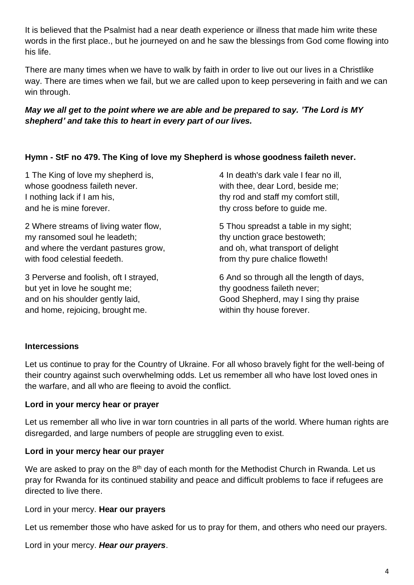It is believed that the Psalmist had a near death experience or illness that made him write these words in the first place., but he journeyed on and he saw the blessings from God come flowing into his life.

There are many times when we have to walk by faith in order to live out our lives in a Christlike way. There are times when we fail, but we are called upon to keep persevering in faith and we can win through.

## *May we all get to the point where we are able and be prepared to say. 'The Lord is MY shepherd' and take this to heart in every part of our lives.*

## **Hymn - StF no 479. The King of love my Shepherd is whose goodness faileth never.**

1 The King of love my shepherd is, whose goodness faileth never. I nothing lack if I am his, and he is mine forever.

2 Where streams of living water flow, my ransomed soul he leadeth; and where the verdant pastures grow, with food celestial feedeth.

3 Perverse and foolish, oft I strayed, but yet in love he sought me; and on his shoulder gently laid, and home, rejoicing, brought me.

4 In death's dark vale I fear no ill, with thee, dear Lord, beside me; thy rod and staff my comfort still, thy cross before to guide me.

5 Thou spreadst a table in my sight; thy unction grace bestoweth; and oh, what transport of delight from thy pure chalice floweth!

6 And so through all the length of days, thy goodness faileth never; Good Shepherd, may I sing thy praise within thy house forever.

#### **Intercessions**

Let us continue to pray for the Country of Ukraine. For all whoso bravely fight for the well-being of their country against such overwhelming odds. Let us remember all who have lost loved ones in the warfare, and all who are fleeing to avoid the conflict.

#### **Lord in your mercy hear or prayer**

Let us remember all who live in war torn countries in all parts of the world. Where human rights are disregarded, and large numbers of people are struggling even to exist.

#### **Lord in your mercy hear our prayer**

We are asked to pray on the  $8<sup>th</sup>$  day of each month for the Methodist Church in Rwanda. Let us pray for Rwanda for its continued stability and peace and difficult problems to face if refugees are directed to live there.

Lord in your mercy. **Hear our prayers**

Let us remember those who have asked for us to pray for them, and others who need our prayers.

Lord in your mercy. *Hear our prayers*.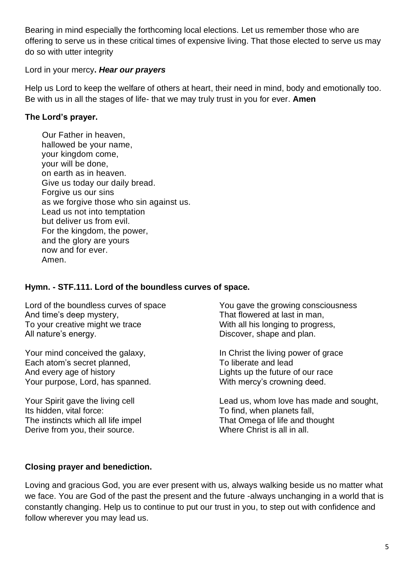Bearing in mind especially the forthcoming local elections. Let us remember those who are offering to serve us in these critical times of expensive living. That those elected to serve us may do so with utter integrity

#### Lord in your mercy**.** *Hear our prayers*

Help us Lord to keep the welfare of others at heart, their need in mind, body and emotionally too. Be with us in all the stages of life- that we may truly trust in you for ever. **Amen**

# **The Lord's prayer.**

 Our Father in heaven, hallowed be your name, your kingdom come, your will be done, on earth as in heaven. Give us today our daily bread. Forgive us our sins as we forgive those who sin against us. Lead us not into temptation but deliver us from evil. For the kingdom, the power, and the glory are yours now and for ever. Amen.

## **Hymn. - STF.111. Lord of the boundless curves of space.**

Lord of the boundless curves of space And time's deep mystery, To your creative might we trace All nature's energy.

Your mind conceived the galaxy, Each atom's secret planned, And every age of history Your purpose, Lord, has spanned.

Your Spirit gave the living cell Its hidden, vital force: The instincts which all life impel Derive from you, their source.

You gave the growing consciousness That flowered at last in man, With all his longing to progress. Discover, shape and plan.

In Christ the living power of grace To liberate and lead Lights up the future of our race With mercy's crowning deed.

Lead us, whom love has made and sought, To find, when planets fall, That Omega of life and thought Where Christ is all in all.

# **Closing prayer and benediction.**

Loving and gracious God, you are ever present with us, always walking beside us no matter what we face. You are God of the past the present and the future -always unchanging in a world that is constantly changing. Help us to continue to put our trust in you, to step out with confidence and follow wherever you may lead us.